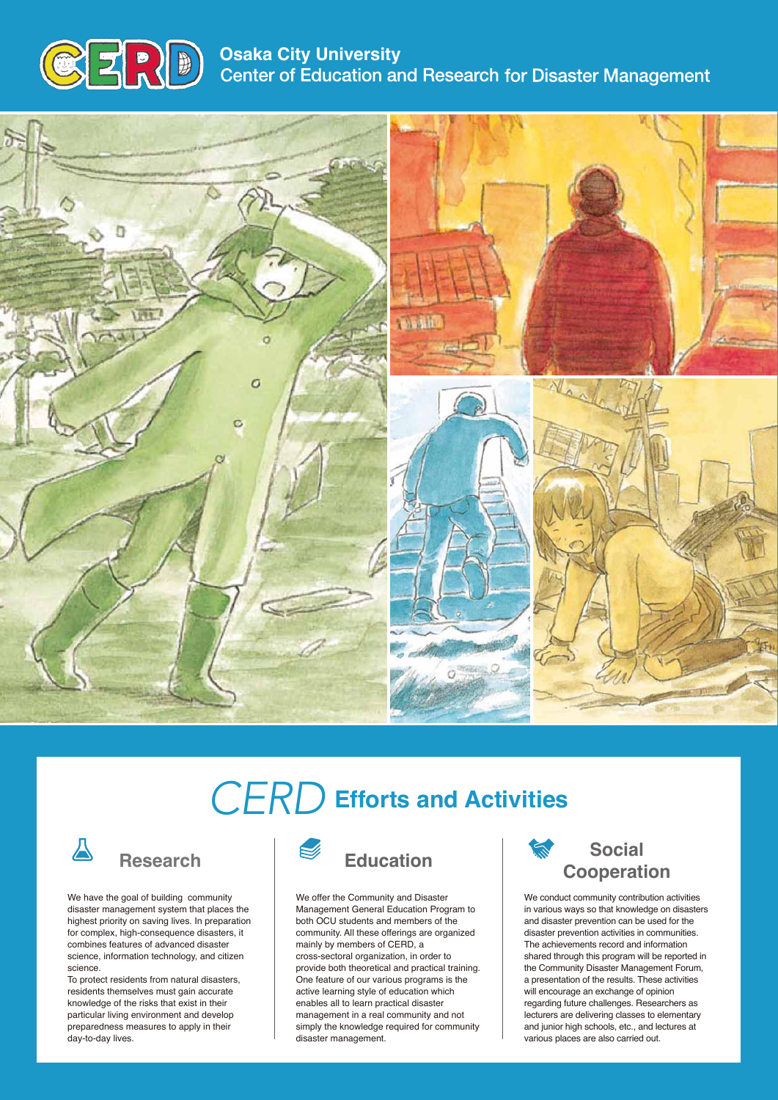

**Osaka City University<br>Center of Education and Research for Disaster Management** 



## *CERD* **Efforts and Activities**



#### **Research**

We have the goal of building community disaster management system that places the highest priority on saving lives. In preparation for complex, high-consequence disasters, it combines features of advanced disaster science, information technology, and citizen science.

To protect residents from natural disasters, residents themselves must gain accurate knowledge of the risks that exist in their particular living environment and develop preparedness measures to apply in their day-to-day lives.



### **Education**

We offer the Community and Disaster Management General Education Program to both OCU students and members of the community. All these offerings are organized mainly by members of CERD, a cross-sectoral organization, in order to provide both theoretical and practical training. One feature of our various programs is the active learning style of education which enables all to learn practical disaster management in a real community and not simply the knowledge required for community disaster management.

#### **Social Cooperation**

We conduct community contribution activities in various ways so that knowledge on disasters and disaster prevention can be used for the disaster prevention activities in communities. The achievements record and information shared through this program will be reported in the Community Disaster Management Forum, a presentation of the results. These activities will encourage an exchange of opinion regarding future challenges. Researchers as lecturers are delivering classes to elementary and junior high schools, etc., and lectures at various places are also carried out.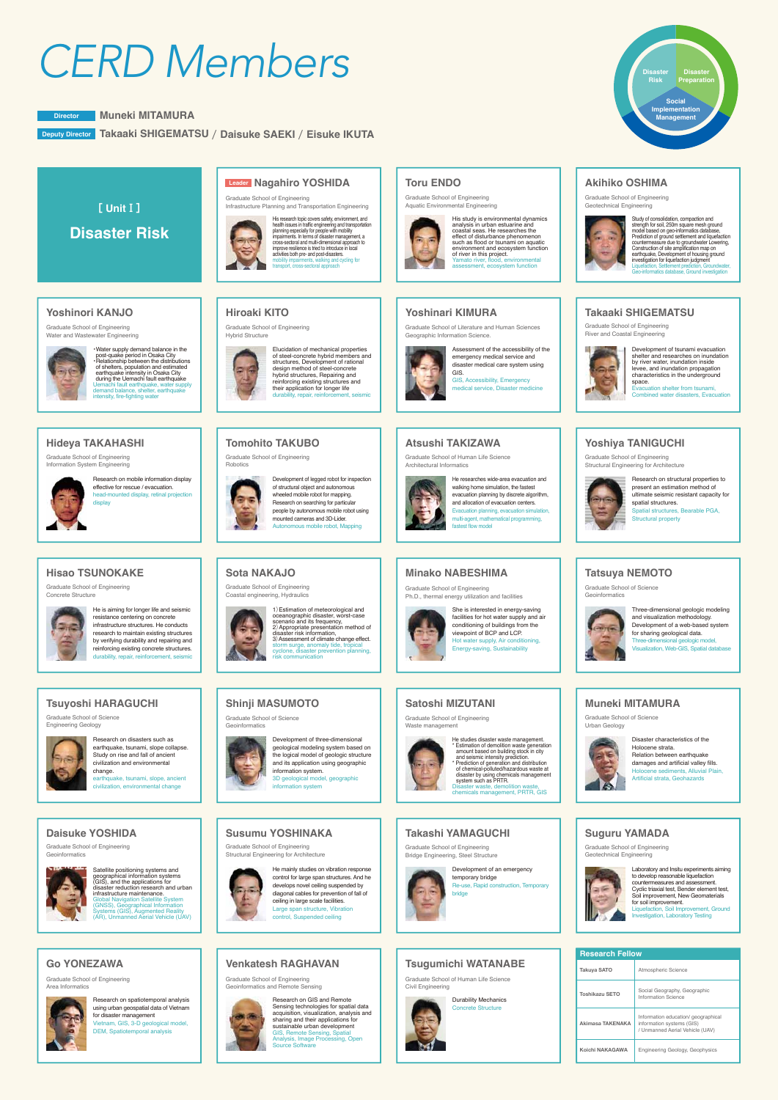# *CERD Members* **Disaster**

**Muneki MITAMURA Director**

**Takaaki SHIGEMATSU** / **Daisuke SAEKI** / **Eisuke IKUTA Deputy Director**



**Risk**

**Koichi NAKAGAWA**

Engineering Geology, Geophysics

**Social Implementation Management**

**Disaster Preparation**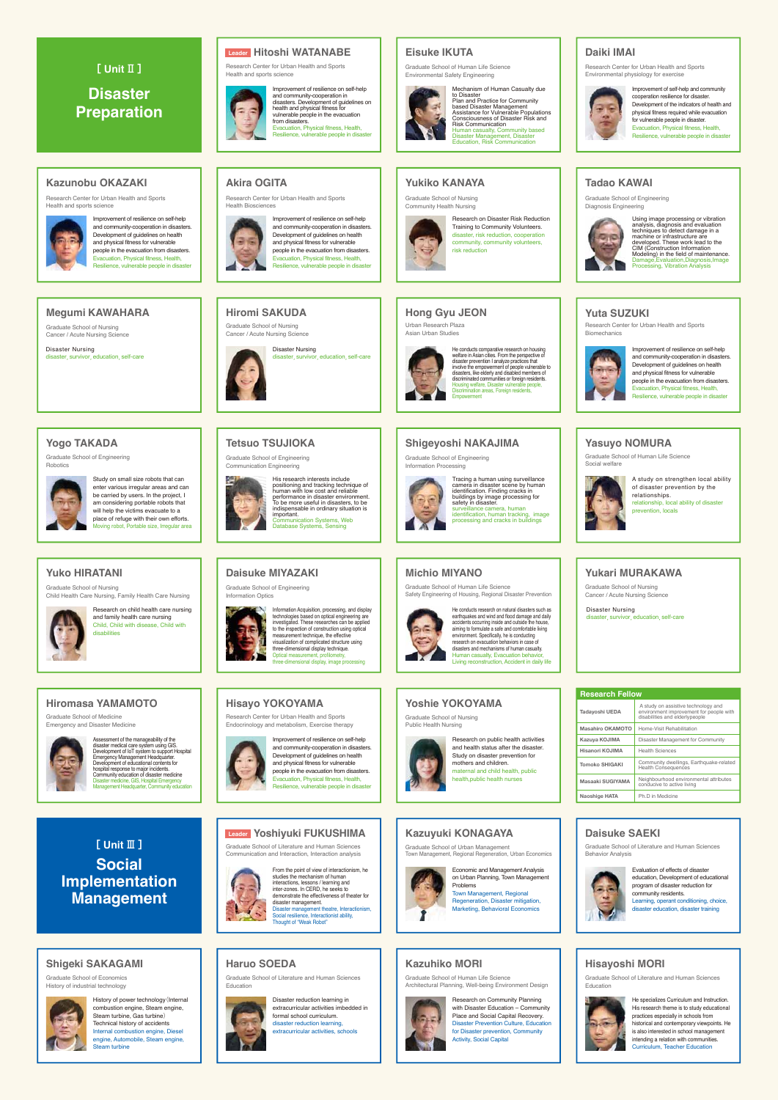